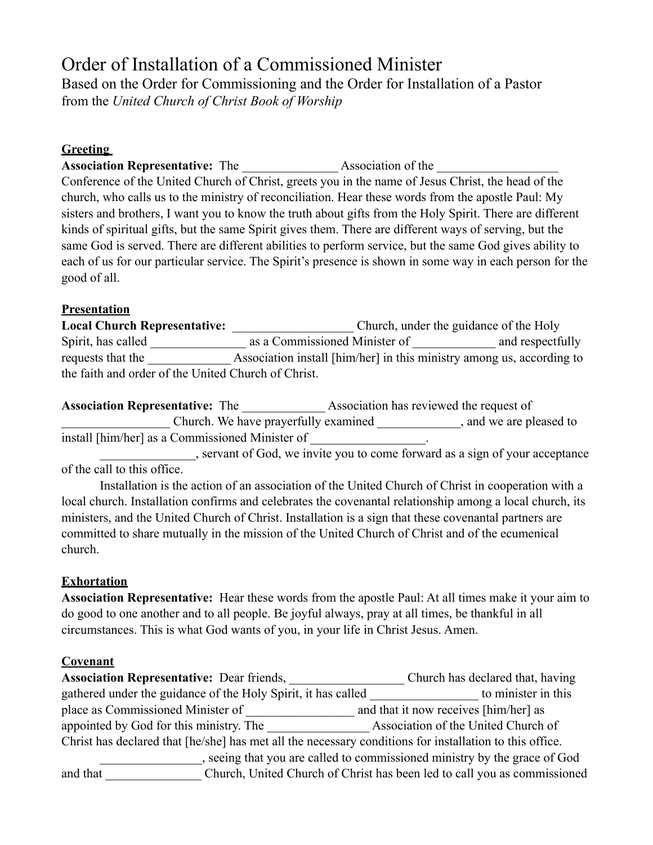# Order of Installation of a Commissioned Minister

Based on the Order for Commissioning and the Order for Installation of a Pastor from the *United Church of Christ Book of Worship*

#### **Greeting**

**Association Representative:** The **Association of the** 

Conference of the United Church of Christ, greets you in the name of Jesus Christ, the head of the church, who calls us to the ministry of reconciliation. Hear these words from the apostle Paul: My sisters and brothers, I want you to know the truth about gifts from the Holy Spirit. There are different kinds of spiritual gifts, but the same Spirit gives them. There are different ways of serving, but the same God is served. There are different abilities to perform service, but the same God gives ability to each of us for our particular service. The Spirit's presence is shown in some way in each person for the good of all.

# **Presentation**

**Local Church Representative:** \_\_\_\_\_\_\_\_\_\_\_\_\_\_\_\_\_\_\_ Church, under the guidance of the Holy Spirit, has called \_\_\_\_\_\_\_\_\_\_\_\_\_\_\_\_\_\_ as a Commissioned Minister of \_\_\_\_\_\_\_\_\_\_\_\_\_ and respectfully requests that the \_\_\_\_\_\_\_\_\_\_\_\_\_ Association install [him/her] in this ministry among us, according to the faith and order of the United Church of Christ.

Association Representative: The **Association has reviewed the request of** \_\_\_\_\_\_\_\_\_\_\_\_\_\_\_\_\_ Church. We have prayerfully examined \_\_\_\_\_\_\_\_\_\_\_\_\_, and we are pleased to install [him/her] as a Commissioned Minister of \_\_\_\_\_\_\_\_\_\_\_\_\_\_\_\_.

\_\_\_\_\_\_\_\_\_\_\_\_\_\_, servant of God, we invite you to come forward as a sign of your acceptance of the call to this office.

Installation is the action of an association of the United Church of Christ in cooperation with a local church. Installation confirms and celebrates the covenantal relationship among a local church, its ministers, and the United Church of Christ. Installation is a sign that these covenantal partners are committed to share mutually in the mission of the United Church of Christ and of the ecumenical church.

# **Exhortation**

**Association Representative:** Hear these words from the apostle Paul: At all times make it your aim to do good to one another and to all people. Be joyful always, pray at all times, be thankful in all circumstances. This is what God wants of you, in your life in Christ Jesus. Amen.

# **Covenant**

| <b>Association Representative: Dear friends,</b>                                                        | Church has declared that, having      |
|---------------------------------------------------------------------------------------------------------|---------------------------------------|
| gathered under the guidance of the Holy Spirit, it has called                                           | to minister in this                   |
| place as Commissioned Minister of                                                                       | and that it now receives [him/her] as |
| appointed by God for this ministry. The                                                                 | Association of the United Church of   |
| Christ has declared that [he/she] has met all the necessary conditions for installation to this office. |                                       |
| seeing that you are called to commissioned ministry by the grace of God                                 |                                       |
| Church, United Church of Christ has been led to call you as commissioned<br>and that                    |                                       |